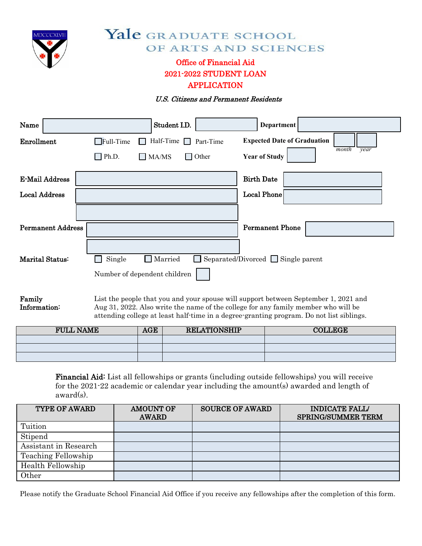

# Yale GRADUATE SCHOOL OF ARTS AND SCIENCES

# Office of Financial Aid 2021-2022 STUDENT LOAN APPLICATION

#### U.S. Citizens and Permanent Residents

| Name                     |                  | Student I.D.                 |              | <b>Department</b>                              |                            |  |
|--------------------------|------------------|------------------------------|--------------|------------------------------------------------|----------------------------|--|
| Enrollment               | $\Box$ Full-Time | Half-Time $\Box$             | Part-Time    | <b>Expected Date of Graduation</b>             | month<br>$\overline{year}$ |  |
|                          | $\Box$ Ph.D.     | $\square$ MA/MS              | $\Box$ Other | <b>Year of Study</b>                           |                            |  |
| <b>E-Mail Address</b>    |                  |                              |              | <b>Birth Date</b>                              |                            |  |
| <b>Local Address</b>     |                  |                              |              | <b>Local Phone</b>                             |                            |  |
|                          |                  |                              |              |                                                |                            |  |
| <b>Permanent Address</b> |                  |                              |              | <b>Permanent Phone</b>                         |                            |  |
|                          |                  |                              |              |                                                |                            |  |
| Marital Status:          | Single           | $\Box$ Married               |              | $\Box$ Separated/Divorced $\Box$ Single parent |                            |  |
|                          |                  | Number of dependent children |              |                                                |                            |  |
|                          |                  |                              |              |                                                |                            |  |

Family Information: List the people that you and your spouse will support between September 1, 2021 and Aug 31, 2022. Also write the name of the college for any family member who will be attending college at least half-time in a degree-granting program. Do not list siblings.

| <b>FULL NAME</b> | <b>AGE</b> | <b>RELATIONSHIP</b> | <b>COLLEGE</b> |
|------------------|------------|---------------------|----------------|
|                  |            |                     |                |
|                  |            |                     |                |
|                  |            |                     |                |

Financial Aid: List all fellowships or grants (including outside fellowships) you will receive for the 2021-22 academic or calendar year including the amount(s) awarded and length of award(s).

| <b>TYPE OF AWARD</b>  | <b>AMOUNT OF</b><br><b>AWARD</b> | <b>SOURCE OF AWARD</b> | <b>INDICATE FALL/</b><br><b>SPRING/SUMMER TERM</b> |
|-----------------------|----------------------------------|------------------------|----------------------------------------------------|
| Tuition               |                                  |                        |                                                    |
| Stipend               |                                  |                        |                                                    |
| Assistant in Research |                                  |                        |                                                    |
| Teaching Fellowship   |                                  |                        |                                                    |
| Health Fellowship     |                                  |                        |                                                    |
| Other                 |                                  |                        |                                                    |

Please notify the Graduate School Financial Aid Office if you receive any fellowships after the completion of this form.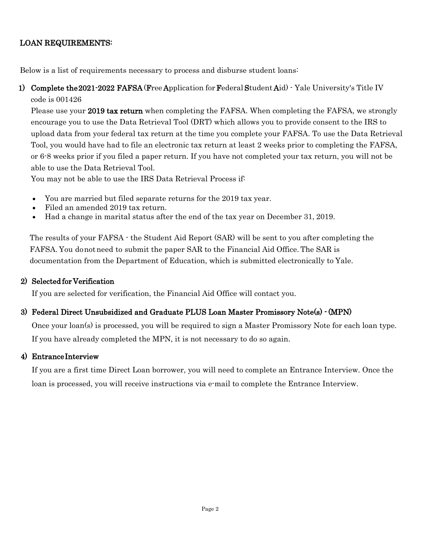# LOAN REQUIREMENTS:

Below is a list of requirements necessary to process and disburse student loans:

1) Complete the 2021-2022 [FAFSA \(](https://studentaid.gov/h/apply-for-aid/fafsa)Free Application for FederalStudent Aid) - Yale University's Title IV code is 001426

Please use your 2019 tax return when completing the FAFSA. When completing the FAFSA, we strongly encourage you to use the Data Retrieval Tool (DRT) which allows you to provide consent to the IRS to upload data from your federal tax return at the time you complete your FAFSA. To use the Data Retrieval Tool, you would have had to file an electronic tax return at least 2 weeks prior to completing the FAFSA, or 6-8 weeks prior if you filed a paper return. If you have not completed your tax return, you will not be able to use the Data Retrieval Tool.

You may not be able to use the IRS Data Retrieval Process if:

- You are married but filed separate returns for the 2019 tax year.
- Filed an amended 2019 tax return.
- Had a change in marital status after the end of the tax year on December 31, 2019.

The results of your FAFSA - the Student Aid Report (SAR) will be sent to you after completing the FAFSA. You donotneed to submit the paper SAR to the Financial Aid Office. The SAR is documentation from the Department of Education, which is submitted electronically to Yale.

## 2) Selected for Verification

If you are selected for verification, the Financial Aid Office will contact you.

## 3) Federal Direct Unsubsidized and Graduate PLUS Loan Master Promissory Note(s) - (MPN)

Once your loan(s) is processed, you will be required to sign a [Master Promissory Note f](http://www.studentloans.gov/)or each loan type. If you have already completed the MPN, it is not necessary to do so again.

## 4) Entrance Interview

If you are a first time Direct Loan borrower, you will need to complete an Entrance Interview. Once the loan is processed, you will receive instructions via e-mail to complete the [Entrance Interview.](http://www.studentloans.gov/)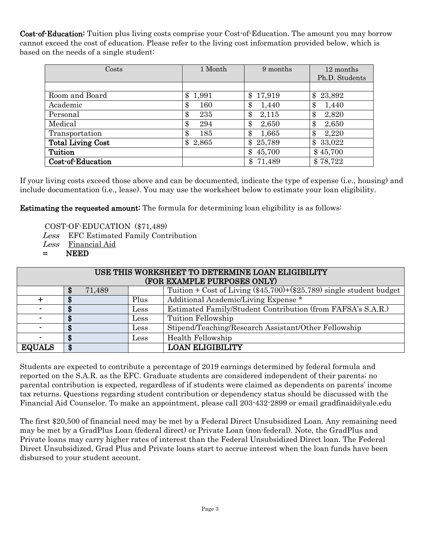Cost-of-Education: Tuition plus living costs comprise your Cost-of-Education. The amount you may borrow cannot exceed the cost of education. Please refer to the living cost information provided below, which is based on the needs of a single student:

| Costs                    | 1 Month | 9 months             | 12 months      |
|--------------------------|---------|----------------------|----------------|
|                          |         |                      | Ph.D. Students |
|                          |         |                      |                |
| Room and Board           | \$      | 17,919               | 23,892         |
|                          | 1,991   | \$                   | \$             |
| Academic                 | \$      | \$                   | 1,440          |
|                          | 160     | 1,440                | \$             |
| Personal                 | \$      | \$                   | $\pmb{\$}$     |
|                          | 235     | 2,115                | 2,820          |
| Medical                  | \$      | \$                   | \$             |
|                          | 294     | 2,650                | 2,650          |
| Transportation           | 185     | \$                   | 2,220          |
|                          | \$      | 1,665                | œ              |
| <b>Total Living Cost</b> | \$      | \$                   | 33,022         |
|                          | 2,865   | 25,789               | \$             |
| Tuition                  |         | $\$\$<br>45,700      | \$45,700       |
| Cost-of-Education        |         | 71,489<br>$\pmb{\$}$ | \$78,722       |

If your living costs exceed those above and can be documented, indicate the type of expense (i.e., housing) and include documentation (i.e., lease). You may use the worksheet below to estimate your loan eligibility.

Estimating the requested amount: The formula for determining loan eligibility is as follows:

COST-OF-EDUCATION (\$71,489)

Less EFC Estimated Family Contribution

Less Financial Aid

= NEED

| USE THIS WORKSHEET TO DETERMINE LOAN ELIGIBILITY |              |              |                                                                                             |  |
|--------------------------------------------------|--------------|--------------|---------------------------------------------------------------------------------------------|--|
| (FOR EXAMPLE PURPOSES ONLY)                      |              |              |                                                                                             |  |
|                                                  | 71,489<br>\$ |              | Tuition + $\overline{\text{Cost of Living } (\$45,700)} + (\$25,789)$ single student budget |  |
| ┿                                                |              | Plus         | Additional Academic/Living Expense *                                                        |  |
| $\blacksquare$                                   |              | Less         | Estimated Family/Student Contribution (from FAFSA's S.A.R.)                                 |  |
| $\sim$                                           |              | Less         | Tuition Fellowship                                                                          |  |
| $\blacksquare$                                   |              | ${\rm Less}$ | Stipend/Teaching/Research Assistant/Other Fellowship                                        |  |
| $\sim$                                           |              | Less         | Health Fellowship                                                                           |  |
| <b>EQUALS</b>                                    | \$           |              | <b>LOAN ELIGIBILITY</b>                                                                     |  |

Students are expected to contribute a percentage of 2019 earnings determined by federal formula and reported on the S.A.R. as the EFC. Graduate students are considered independent of their parents; no parental contribution is expected, regardless of if students were claimed as dependents on parents' income tax returns. Questions regarding student contribution or dependency status should be discussed with the Financial Aid Counselor. To make an appointment, please call 203-432-2899 or email [gradfinaid@yale.edu](mailto:gradfinaid@yale.edu) 

The first \$20,500 of financial need may be met by a Federal Direct Unsubsidized Loan. Any remaining need may be met by a GradPlus Loan (federal direct) or Private Loan (non-federal). Note, the GradPlus and Private loans may carry higher rates of interest than the Federal Unsubsidized Direct loan. The Federal Direct Unsubsidized, Grad Plus and Private loans start to accrue interest when the loan funds have been disbursed to your student account.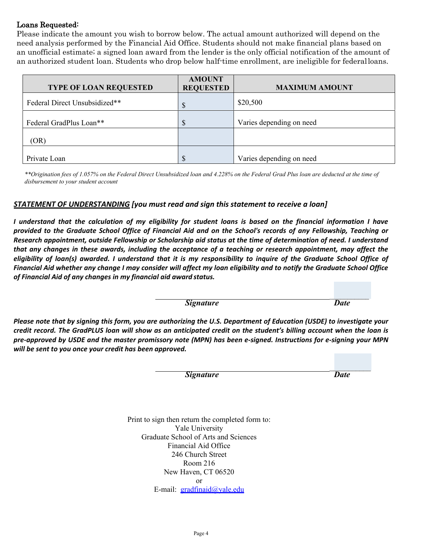#### Loans Requested:

Please indicate the amount you wish to borrow below. The actual amount authorized will depend on the need analysis performed by the Financial Aid Office. Students should not make financial plans based on an unofficial estimate; a signed loan award from the lender is the only official notification of the amount of an authorized student loan. Students who drop below half-time enrollment, are ineligible for federalloans.

| <b>TYPE OF LOAN REQUESTED</b> | <b>AMOUNT</b><br><b>REQUESTED</b> | <b>MAXIMUM AMOUNT</b>    |
|-------------------------------|-----------------------------------|--------------------------|
| Federal Direct Unsubsidized** | $\mathcal{S}$                     | \$20,500                 |
| Federal GradPlus Loan**       | S                                 | Varies depending on need |
| (OR)                          |                                   |                          |
| Private Loan                  | S                                 | Varies depending on need |

*\*\*Origination fees of 1.057% on the Federal Direct Unsubsidized loan and 4.228% on the Federal Grad Plus loan are deducted at the time of disbursement to your student account*

#### *STATEMENT OF UNDERSTANDING [you must read and sign this statement to receive a loan]*

*I understand that the calculation of my eligibility for student loans is based on the financial information I have provided to the Graduate School Office of Financial Aid and on the School's records of any Fellowship, Teaching or Research appointment, outside Fellowship or Scholarship aid status at the time of determination of need. I understand that any changes in these awards, including the acceptance of a teaching or research appointment, may affect the eligibility of loan(s) awarded. I understand that it is my responsibility to inquire of the Graduate School Office of Financial Aid whether any change I may consider will affect my loan eligibility and to notify the Graduate School Office of Financial Aid of any changes in my financial aid award status.*

*Signature Date*

*\_\_\_\_\_\_\_\_\_\_\_*

*Please note that by signing this form, you are authorizing the U.S. Department of Education (USDE) to investigate your credit record. The GradPLUS loan will show as an anticipated credit on the student's billing account when the loan is pre-approved by USDE and the master promissory note (MPN) has been e-signed. Instructions for e-signing your MPN will be sent to you once your credit has been approved.*

*Signature Date*

*\_\_\_\_\_\_\_\_\_\_\_*

Print to sign then return the completed form to: Yale University Graduate School of Arts and Sciences Financial Aid Office 246 Church Street Room 216 New Haven, CT 06520 [or](mailto:gradfinaid@yale.edu) E-mail: [gradfinaid@yale.edu](mailto:gradfinaid@yale.edu)